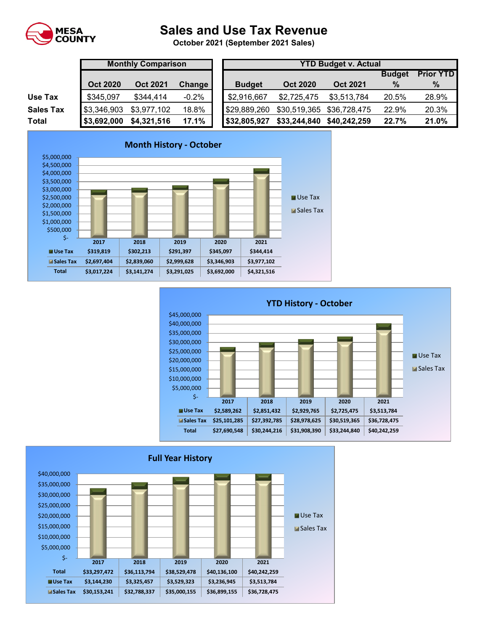

## **Sales and Use Tax Revenue**

**October 2021 (September 2021 Sales)** 

|                  | <b>Monthly Comparison</b> |                 |               | <b>YTD Budget v. Actual</b> |                 |                 |               |                  |  |
|------------------|---------------------------|-----------------|---------------|-----------------------------|-----------------|-----------------|---------------|------------------|--|
|                  |                           |                 |               |                             |                 |                 | <b>Budget</b> | <b>Prior YTD</b> |  |
|                  | <b>Oct 2020</b>           | <b>Oct 2021</b> | <b>Change</b> | <b>Budget</b>               | <b>Oct 2020</b> | <b>Oct 2021</b> | $\%$          | %                |  |
| Use Tax          | \$345,097                 | \$344,414       | $-0.2%$       | \$2,916,667                 | \$2,725,475     | \$3,513,784     | 20.5%         | 28.9%            |  |
| <b>Sales Tax</b> | \$3,346,903               | \$3,977,102     | 18.8%         | \$29,889,260                | \$30,519,365    | \$36,728,475    | 22.9%         | 20.3%            |  |
| Total            | \$3,692,000               | \$4,321,516     | 17.1%         | \$32,805,927                | \$33,244,840    | \$40,242,259    | 22.7%         | 21.0%            |  |





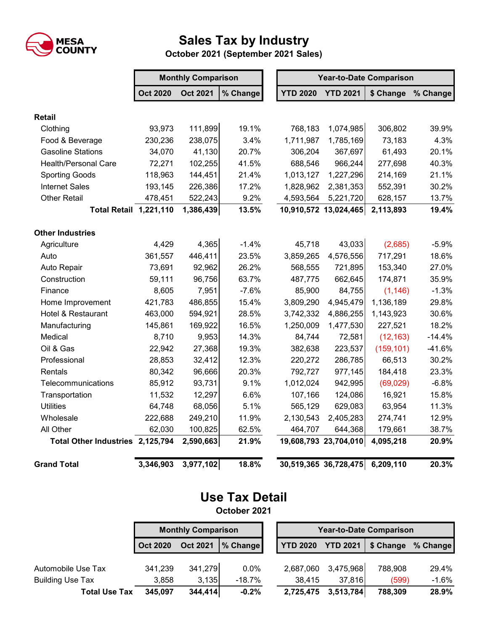

## **Sales Tax by Industry**

**October 2021 (September 2021 Sales)**

|                                  | <b>Monthly Comparison</b> |                 |          | <b>Year-to-Date Comparison</b> |                       |            |          |  |
|----------------------------------|---------------------------|-----------------|----------|--------------------------------|-----------------------|------------|----------|--|
|                                  | <b>Oct 2020</b>           | <b>Oct 2021</b> | % Change | <b>YTD 2020</b>                | <b>YTD 2021</b>       | \$ Change  | % Change |  |
| <b>Retail</b>                    |                           |                 |          |                                |                       |            |          |  |
| Clothing                         | 93,973                    | 111,899         | 19.1%    | 768,183                        | 1,074,985             | 306,802    | 39.9%    |  |
| Food & Beverage                  | 230,236                   | 238,075         | 3.4%     | 1,711,987                      | 1,785,169             | 73,183     | 4.3%     |  |
| <b>Gasoline Stations</b>         | 34,070                    | 41,130          | 20.7%    | 306,204                        | 367,697               | 61,493     | 20.1%    |  |
| <b>Health/Personal Care</b>      | 72,271                    | 102,255         | 41.5%    | 688,546                        | 966,244               | 277,698    | 40.3%    |  |
| <b>Sporting Goods</b>            | 118,963                   | 144,451         | 21.4%    | 1,013,127                      | 1,227,296             | 214,169    | 21.1%    |  |
| <b>Internet Sales</b>            | 193,145                   | 226,386         | 17.2%    | 1,828,962                      | 2,381,353             | 552,391    | 30.2%    |  |
| <b>Other Retail</b>              | 478,451                   | 522,243         | 9.2%     | 4,593,564                      | 5,221,720             | 628,157    | 13.7%    |  |
| <b>Total Retail 1,221,110</b>    |                           | 1,386,439       | 13.5%    |                                | 10,910,572 13,024,465 | 2,113,893  | 19.4%    |  |
| <b>Other Industries</b>          |                           |                 |          |                                |                       |            |          |  |
| Agriculture                      | 4,429                     | 4,365           | $-1.4%$  | 45,718                         | 43,033                | (2,685)    | $-5.9%$  |  |
| Auto                             | 361,557                   | 446,411         | 23.5%    | 3,859,265                      | 4,576,556             | 717,291    | 18.6%    |  |
| Auto Repair                      | 73,691                    | 92,962          | 26.2%    | 568,555                        | 721,895               | 153,340    | 27.0%    |  |
| Construction                     | 59,111                    | 96,756          | 63.7%    | 487,775                        | 662,645               | 174,871    | 35.9%    |  |
| Finance                          | 8,605                     | 7,951           | $-7.6%$  | 85,900                         | 84,755                | (1, 146)   | $-1.3%$  |  |
| Home Improvement                 | 421,783                   | 486,855         | 15.4%    | 3,809,290                      | 4,945,479             | 1,136,189  | 29.8%    |  |
| Hotel & Restaurant               | 463,000                   | 594,921         | 28.5%    | 3,742,332                      | 4,886,255             | 1,143,923  | 30.6%    |  |
| Manufacturing                    | 145,861                   | 169,922         | 16.5%    | 1,250,009                      | 1,477,530             | 227,521    | 18.2%    |  |
| Medical                          | 8,710                     | 9,953           | 14.3%    | 84,744                         | 72,581                | (12, 163)  | $-14.4%$ |  |
| Oil & Gas                        | 22,942                    | 27,368          | 19.3%    | 382,638                        | 223,537               | (159, 101) | $-41.6%$ |  |
| Professional                     | 28,853                    | 32,412          | 12.3%    | 220,272                        | 286,785               | 66,513     | 30.2%    |  |
| Rentals                          | 80,342                    | 96,666          | 20.3%    | 792,727                        | 977,145               | 184,418    | 23.3%    |  |
| Telecommunications               | 85,912                    | 93,731          | 9.1%     | 1,012,024                      | 942,995               | (69, 029)  | $-6.8%$  |  |
| Transportation                   | 11,532                    | 12,297          | 6.6%     | 107,166                        | 124,086               | 16,921     | 15.8%    |  |
| <b>Utilities</b>                 | 64,748                    | 68,056          | 5.1%     | 565,129                        | 629,083               | 63,954     | 11.3%    |  |
| Wholesale                        | 222,688                   | 249,210         | 11.9%    | 2,130,543                      | 2,405,283             | 274,741    | 12.9%    |  |
| All Other                        | 62,030                    | 100,825         | 62.5%    | 464,707                        | 644,368               | 179,661    | 38.7%    |  |
| Total Other Industries 2,125,794 |                           | 2,590,663       | 21.9%    |                                | 19,608,793 23,704,010 | 4,095,218  | 20.9%    |  |
| <b>Grand Total</b>               | 3,346,903                 | 3,977,102       | 18.8%    |                                | 30,519,365 36,728,475 | 6,209,110  | 20.3%    |  |

## **Use Tax Detail October 2021**

**Oct 2020 Oct 2021 % Change YTD 2020 YTD 2021 \$ Change % Change** Automobile Use Tax 341,239 341,279 0.0% 2,687,060 3,475,968 788,908 29.4% Building Use Tax 3,858 3,135 -18.7% 38,415 37,816 (599) -1.6% **Total Use Tax 345,097 344,414 -0.2% 2,725,475 3,513,784 788,309 28.9% Monthly Comparison Year-to-Date Comparison**